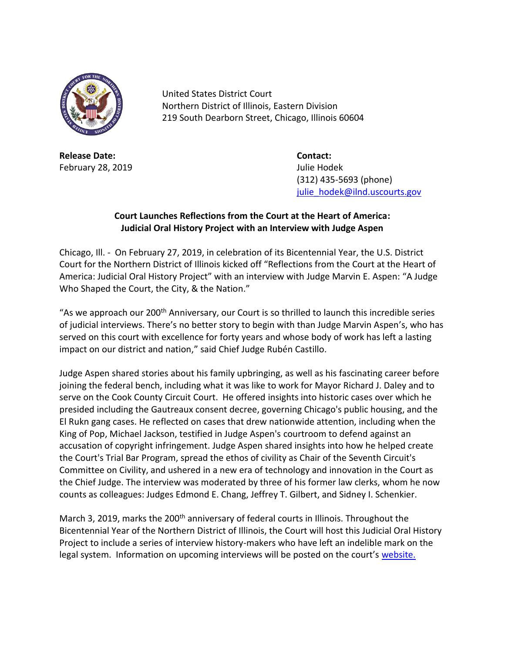

United States District Court Northern District of Illinois, Eastern Division 219 South Dearborn Street, Chicago, Illinois 60604

**Release Date: Contact:** February 28, 2019 **Julie Hodek** 

(312) 435-5693 (phone) [julie\\_hodek@ilnd.uscourts.gov](mailto:julie_hodek@ilnd.uscourts.gov)

## **Court Launches Reflections from the Court at the Heart of America: Judicial Oral History Project with an Interview with Judge Aspen**

Chicago, Ill. - On February 27, 2019, in celebration of its Bicentennial Year, the U.S. District Court for the Northern District of Illinois kicked off "Reflections from the Court at the Heart of America: Judicial Oral History Project" with an interview with Judge Marvin E. Aspen: "A Judge Who Shaped the Court, the City, & the Nation."

"As we approach our 200<sup>th</sup> Anniversary, our Court is so thrilled to launch this incredible series of judicial interviews. There's no better story to begin with than Judge Marvin Aspen's, who has served on this court with excellence for forty years and whose body of work has left a lasting impact on our district and nation," said Chief Judge Rubén Castillo.

Judge Aspen shared stories about his family upbringing, as well as his fascinating career before joining the federal bench, including what it was like to work for Mayor Richard J. Daley and to serve on the Cook County Circuit Court. He offered insights into historic cases over which he presided including the Gautreaux consent decree, governing Chicago's public housing, and the El Rukn gang cases. He reflected on cases that drew nationwide attention, including when the King of Pop, Michael Jackson, testified in Judge Aspen's courtroom to defend against an accusation of copyright infringement. Judge Aspen shared insights into how he helped create the Court's Trial Bar Program, spread the ethos of civility as Chair of the Seventh Circuit's Committee on Civility, and ushered in a new era of technology and innovation in the Court as the Chief Judge. The interview was moderated by three of his former law clerks, whom he now counts as colleagues: Judges Edmond E. Chang, Jeffrey T. Gilbert, and Sidney I. Schenkier.

March 3, 2019, marks the 200<sup>th</sup> anniversary of federal courts in Illinois. Throughout the Bicentennial Year of the Northern District of Illinois, the Court will host this Judicial Oral History Project to include a series of interview history-makers who have left an indelible mark on the legal system. Information on upcoming interviews will be posted on the court's [website.](http://www.ilnd.uscourts.gov/)